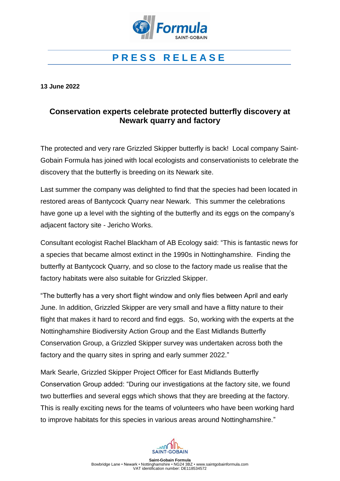

# **P R E S S R E L E A S E**

**13 June 2022**

# **Conservation experts celebrate protected butterfly discovery at Newark quarry and factory**

The protected and very rare Grizzled Skipper butterfly is back! Local company Saint-Gobain Formula has joined with local ecologists and conservationists to celebrate the discovery that the butterfly is breeding on its Newark site.

Last summer the company was delighted to find that the species had been located in restored areas of Bantycock Quarry near Newark. This summer the celebrations have gone up a level with the sighting of the butterfly and its eggs on the company's adjacent factory site - Jericho Works.

Consultant ecologist Rachel Blackham of AB Ecology said: "This is fantastic news for a species that became almost extinct in the 1990s in Nottinghamshire. Finding the butterfly at Bantycock Quarry, and so close to the factory made us realise that the factory habitats were also suitable for Grizzled Skipper.

"The butterfly has a very short flight window and only flies between April and early June. In addition, Grizzled Skipper are very small and have a flitty nature to their flight that makes it hard to record and find eggs. So, working with the experts at the Nottinghamshire Biodiversity Action Group and the East Midlands Butterfly Conservation Group, a Grizzled Skipper survey was undertaken across both the factory and the quarry sites in spring and early summer 2022."

Mark Searle, Grizzled Skipper Project Officer for East Midlands Butterfly Conservation Group added: "During our investigations at the factory site, we found two butterflies and several eggs which shows that they are breeding at the factory. This is really exciting news for the teams of volunteers who have been working hard to improve habitats for this species in various areas around Nottinghamshire."

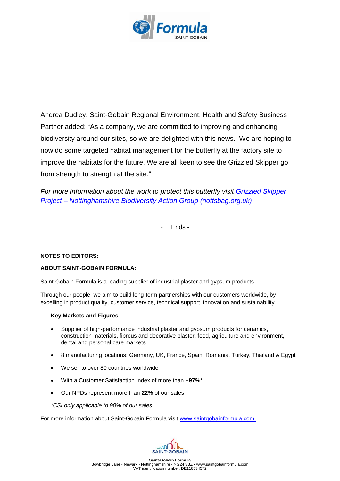

Andrea Dudley, Saint-Gobain Regional Environment, Health and Safety Business Partner added: "As a company, we are committed to improving and enhancing biodiversity around our sites, so we are delighted with this news. We are hoping to now do some targeted habitat management for the butterfly at the factory site to improve the habitats for the future. We are all keen to see the Grizzled Skipper go from strength to strength at the site."

*For more information about the work to protect this butterfly visit [Grizzled Skipper](https://nottsbag.org.uk/projects/grizzled-skipper/)  Project – [Nottinghamshire Biodiversity Action Group \(nottsbag.org.uk\)](https://nottsbag.org.uk/projects/grizzled-skipper/)*

- Ends -

# **NOTES TO EDITORS:**

# **ABOUT SAINT-GOBAIN FORMULA:**

Saint-Gobain Formula is a leading supplier of industrial plaster and gypsum products.

Through our people, we aim to build long-term partnerships with our customers worldwide, by excelling in product quality, customer service, technical support, innovation and sustainability.

#### **Key Markets and Figures**

- Supplier of high-performance industrial plaster and gypsum products for ceramics, construction materials, fibrous and decorative plaster, food, agriculture and environment, dental and personal care markets
- 8 manufacturing locations: Germany, UK, France, Spain, Romania, Turkey, Thailand & Egypt
- We sell to over 80 countries worldwide
- With a Customer Satisfaction Index of more than +**97**%\*
- Our NPDs represent more than **22**% of our sales
- *\*CSI only applicable to 90% of our sales*

For more information about Saint-Gobain Formula visit [www.saintgobainformula.com](http://www.saintgobainformula.com/)